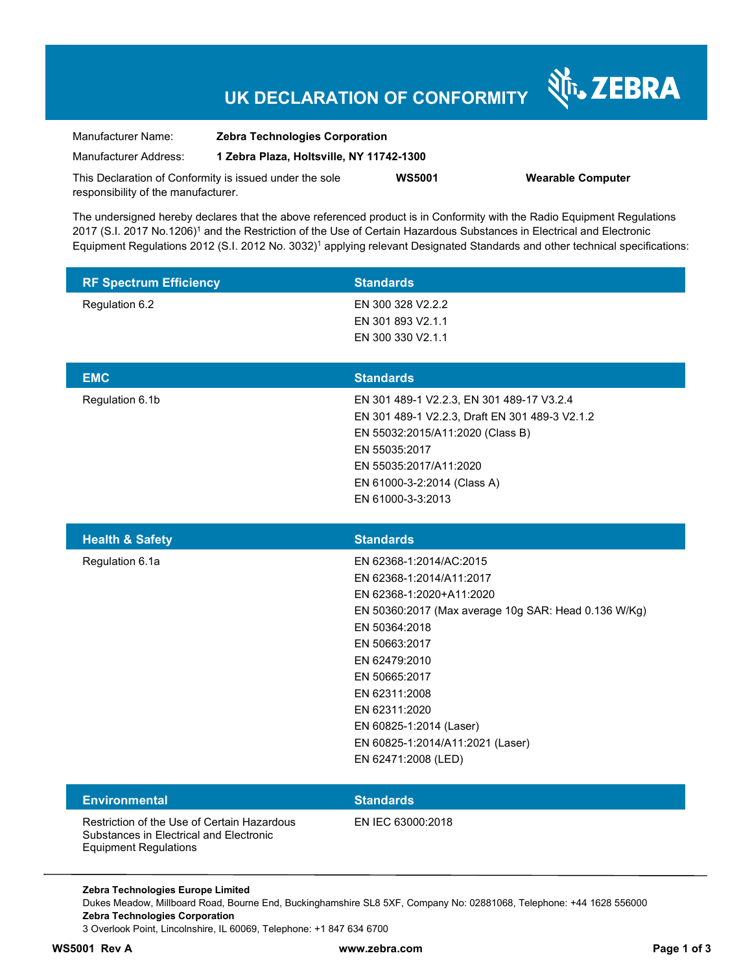# **UK DECLARATION OF CONFORMITY**

Nr. ZEBRA

| Manufacturer Name:                                      | <b>Zebra Technologies Corporation</b>    |               |                          |
|---------------------------------------------------------|------------------------------------------|---------------|--------------------------|
| Manufacturer Address:                                   | 1 Zebra Plaza, Holtsville, NY 11742-1300 |               |                          |
| This Declaration of Conformity is issued under the sole |                                          | <b>WS5001</b> | <b>Wearable Computer</b> |
| responsibility of the manufacturer.                     |                                          |               |                          |

The undersigned hereby declares that the above referenced product is in Conformity with the Radio Equipment Regulations 2017 (S.I. 2017 No.1206)<sup>1</sup> and the Restriction of the Use of Certain Hazardous Substances in Electrical and Electronic Equipment Regulations 2012 (S.I. 2012 No. 3032)<sup>1</sup> applying relevant Designated Standards and other technical specifications:

| <b>RF Spectrum Efficiency</b>                                                                                          | <b>Standards</b>                                                                                                                                                                                                                                                                                                                    |
|------------------------------------------------------------------------------------------------------------------------|-------------------------------------------------------------------------------------------------------------------------------------------------------------------------------------------------------------------------------------------------------------------------------------------------------------------------------------|
| Regulation 6.2                                                                                                         | EN 300 328 V2.2.2<br>EN 301 893 V2.1.1<br>EN 300 330 V2.1.1                                                                                                                                                                                                                                                                         |
| <b>EMC</b>                                                                                                             | <b>Standards</b>                                                                                                                                                                                                                                                                                                                    |
| Regulation 6.1b                                                                                                        | EN 301 489-1 V2.2.3, EN 301 489-17 V3.2.4<br>EN 301 489-1 V2.2.3, Draft EN 301 489-3 V2.1.2<br>EN 55032:2015/A11:2020 (Class B)<br>EN 55035:2017<br>EN 55035:2017/A11:2020<br>EN 61000-3-2:2014 (Class A)<br>EN 61000-3-3:2013                                                                                                      |
| <b>Health &amp; Safety</b>                                                                                             | <b>Standards</b>                                                                                                                                                                                                                                                                                                                    |
| Regulation 6.1a                                                                                                        | EN 62368-1:2014/AC:2015<br>EN 62368-1:2014/A11:2017<br>EN 62368-1:2020+A11:2020<br>EN 50360:2017 (Max average 10g SAR: Head 0.136 W/Kg)<br>EN 50364:2018<br>EN 50663:2017<br>EN 62479:2010<br>EN 50665:2017<br>EN 62311:2008<br>EN 62311:2020<br>EN 60825-1:2014 (Laser)<br>EN 60825-1:2014/A11:2021 (Laser)<br>EN 62471:2008 (LED) |
| <b>Environmental</b>                                                                                                   | <b>Standards</b>                                                                                                                                                                                                                                                                                                                    |
| Restriction of the Use of Certain Hazardous<br>Substances in Electrical and Electronic<br><b>Equipment Regulations</b> | EN IEC 63000:2018                                                                                                                                                                                                                                                                                                                   |

**Zebra Technologies Europe Limited**  Dukes Meadow, Millboard Road, Bourne End, Buckinghamshire SL8 5XF, Company No: 02881068, Telephone: +44 1628 556000 **Zebra Technologies Corporation**  3 Overlook Point, Lincolnshire, IL 60069, Telephone: +1 847 634 6700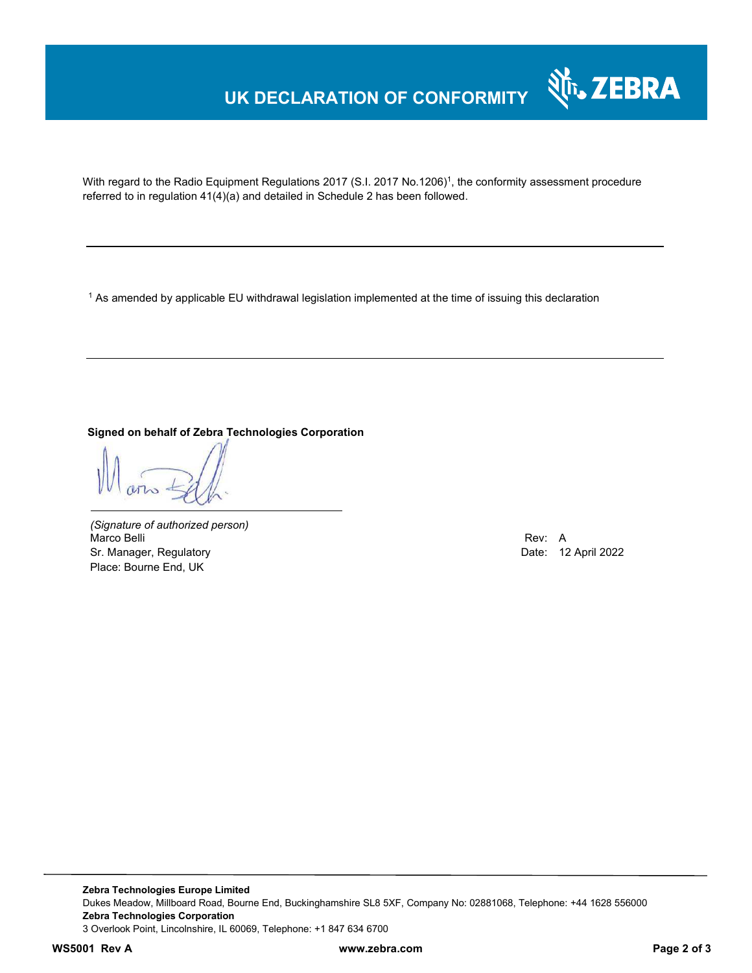## **UK DECLARATION OF CONFORMITY**



With regard to the Radio Equipment Regulations 2017 (S.I. 2017 No.1206)<sup>1</sup>, the conformity assessment procedure referred to in regulation 41(4)(a) and detailed in Schedule 2 has been followed.

 $^{\rm 1}$  As amended by applicable EU withdrawal legislation implemented at the time of issuing this declaration

**Signed on behalf of Zebra Technologies Corporation** 

*(Signature of authorized person)* Marco Belli Rev: A Annual Rev: A Annual Rev: A Annual Rev: A Annual Rev: A Annual Rev: A Annual Rev: A Annual Rev Sr. Manager, Regulatory **Date: 12 April 2022** Place: Bourne End, UK